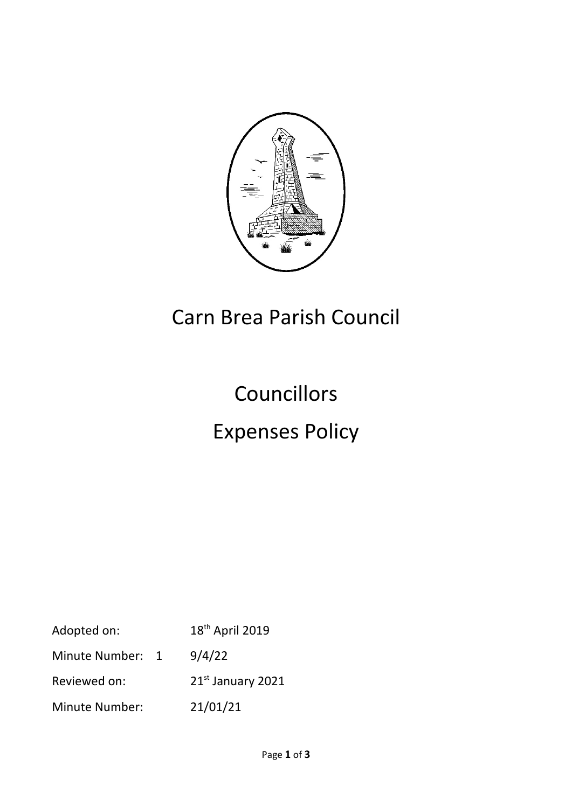

# Carn Brea Parish Council

# **Councillors** Expenses Policy

| Adopted on:           | 18 <sup>th</sup> April 2019 |
|-----------------------|-----------------------------|
| Minute Number: 1      | 9/4/22                      |
| Reviewed on:          | $21st$ January 2021         |
| <b>Minute Number:</b> | 21/01/21                    |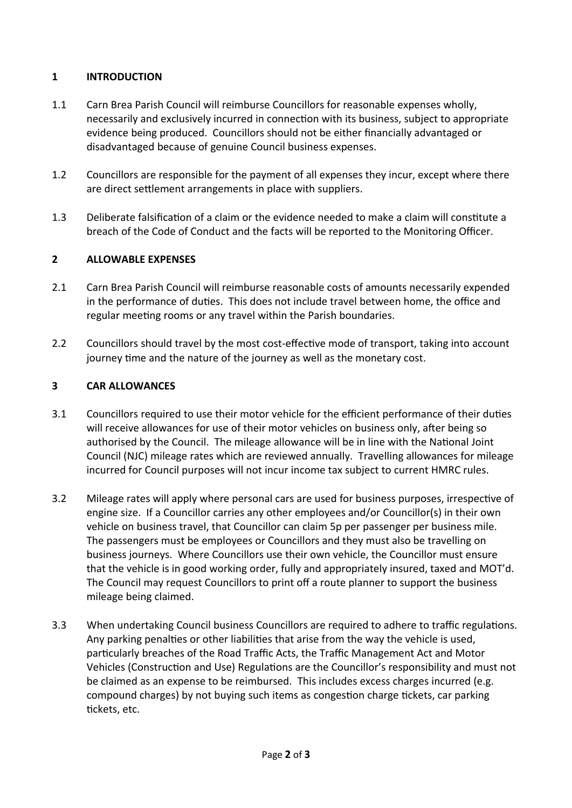# **1 INTRODUCTION**

- 1.1 Carn Brea Parish Council will reimburse Councillors for reasonable expenses wholly, necessarily and exclusively incurred in connection with its business, subject to appropriate evidence being produced. Councillors should not be either financially advantaged or disadvantaged because of genuine Council business expenses.
- 1.2 Councillors are responsible for the payment of all expenses they incur, except where there are direct settlement arrangements in place with suppliers.
- 1.3 Deliberate falsification of a claim or the evidence needed to make a claim will constitute a breach of the Code of Conduct and the facts will be reported to the Monitoring Officer.

## **2 ALLOWABLE EXPENSES**

- 2.1 Carn Brea Parish Council will reimburse reasonable costs of amounts necessarily expended in the performance of duties. This does not include travel between home, the office and regular meeting rooms or any travel within the Parish boundaries.
- 2.2 Councillors should travel by the most cost-effective mode of transport, taking into account journey time and the nature of the journey as well as the monetary cost.

#### **3 CAR ALLOWANCES**

- 3.1 Councillors required to use their motor vehicle for the efficient performance of their duties will receive allowances for use of their motor vehicles on business only, after being so authorised by the Council. The mileage allowance will be in line with the National Joint Council (NJC) mileage rates which are reviewed annually. Travelling allowances for mileage incurred for Council purposes will not incur income tax subject to current HMRC rules.
- 3.2 Mileage rates will apply where personal cars are used for business purposes, irrespective of engine size. If a Councillor carries any other employees and/or Councillor(s) in their own vehicle on business travel, that Councillor can claim 5p per passenger per business mile. The passengers must be employees or Councillors and they must also be travelling on business journeys. Where Councillors use their own vehicle, the Councillor must ensure that the vehicle is in good working order, fully and appropriately insured, taxed and MOT'd. The Council may request Councillors to print off a route planner to support the business mileage being claimed.
- 3.3 When undertaking Council business Councillors are required to adhere to traffic regulations. Any parking penalties or other liabilities that arise from the way the vehicle is used, particularly breaches of the Road Traffic Acts, the Traffic Management Act and Motor Vehicles (Construction and Use) Regulations are the Councillor's responsibility and must not be claimed as an expense to be reimbursed. This includes excess charges incurred (e.g. compound charges) by not buying such items as congestion charge tickets, car parking tickets, etc.